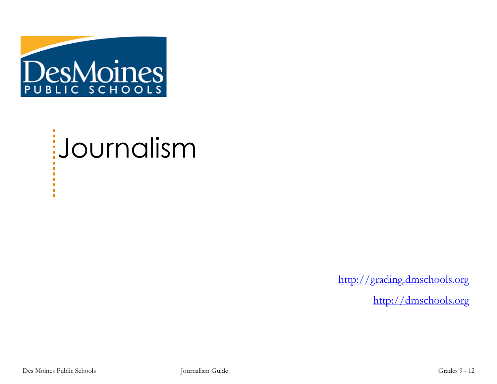

# Journalism

[http://grading.dmschools.org](http://grading.dmschools.org/)

[http://dmschools.org](http://dmschools.org/)

Г. Ē,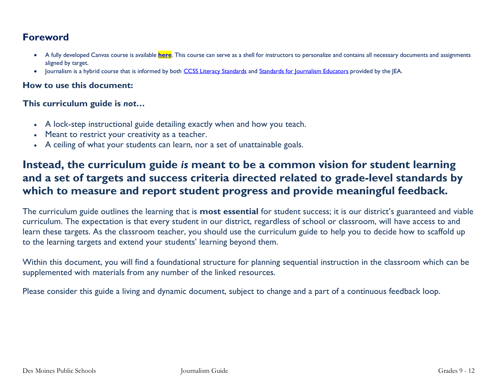## **Foreword**

- A fully developed Canvas course is available **[here](https://lor.instructure.com/resources/d3d94e6376904c5ba7b12bbbd80b6620?shared)**. This course can serve as a shell for instructors to personalize and contains all necessary documents and assignments aligned by target.
- Journalism is a hybrid course that is informed by both [CCSS Literacy Standards](https://iowacore.gov/standards/literacy/k-1-2-3-4-5-6-7-8-9-10-11-12/literacy) and [Standards for Journalism Educators](http://jea.org/wp/home/for-educators/standards/) provided by the JEA.

#### **How to use this document:**

#### **This curriculum guide is** *not…*

- A lock-step instructional guide detailing exactly when and how you teach.
- Meant to restrict your creativity as a teacher.
- A ceiling of what your students can learn, nor a set of unattainable goals.

# **Instead, the curriculum guide** *is* **meant to be a common vision for student learning and a set of targets and success criteria directed related to grade-level standards by which to measure and report student progress and provide meaningful feedback.**

The curriculum guide outlines the learning that is **most essential** for student success; it is our district's guaranteed and viable curriculum. The expectation is that every student in our district, regardless of school or classroom, will have access to and learn these targets. As the classroom teacher, you should use the curriculum guide to help you to decide how to scaffold up to the learning targets and extend your students' learning beyond them.

Within this document, you will find a foundational structure for planning sequential instruction in the classroom which can be supplemented with materials from any number of the linked resources.

Please consider this guide a living and dynamic document, subject to change and a part of a continuous feedback loop.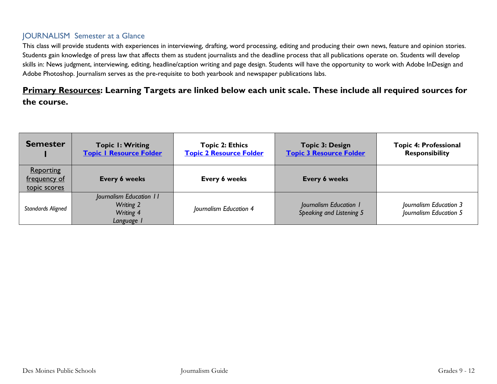#### JOURNALISM Semester at a Glance

This class will provide students with experiences in interviewing, drafting, word processing, editing and producing their own news, feature and opinion stories. Students gain knowledge of press law that affects them as student journalists and the deadline process that all publications operate on. Students will develop skills in: News judgment, interviewing, editing, headline/caption writing and page design. Students will have the opportunity to work with Adobe InDesign and Adobe Photoshop. Journalism serves as the pre-requisite to both yearbook and newspaper publications labs.

## **Primary Resources: Learning Targets are linked below each unit scale. These include all required sources for the course.**

| <b>Semester</b>                                  | <b>Topic I: Writing</b><br><b>Topic I Resource Folder</b>                     | <b>Topic 2: Ethics</b><br><b>Topic 2 Resource Folder</b> | <b>Topic 3: Design</b><br><b>Topic 3 Resource Folder</b> | <b>Topic 4: Professional</b><br><b>Responsibility</b> |
|--------------------------------------------------|-------------------------------------------------------------------------------|----------------------------------------------------------|----------------------------------------------------------|-------------------------------------------------------|
| <b>Reporting</b><br>frequency of<br>topic scores | Every 6 weeks                                                                 | Every 6 weeks                                            | <b>Every 6 weeks</b>                                     |                                                       |
| Standards Aligned                                | Journalism Education 11<br><b>Writing 2</b><br><b>Writing 4</b><br>Language I | Journalism Education 4                                   | Journalism Education 1<br>Speaking and Listening 5       | Journalism Education 3<br>Journalism Education 5      |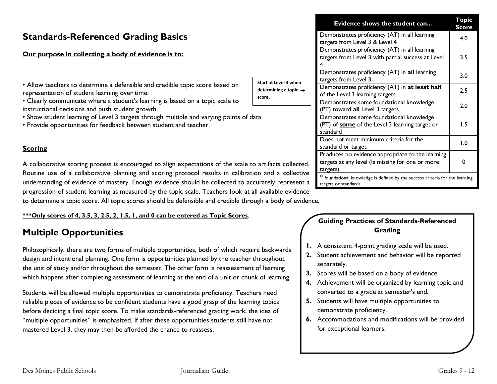### **Standards-Referenced Grading Basics**

#### **Our purpose in collecting a body of evidence is to:**

• Allow teachers to determine a defensible and credible topic score based on a representation of student learning over time.

• Clearly communicate where a student's learning is based on a topic scale to instructional decisions and push student growth.

- Show student learning of Level 3 targets through multiple and varying points of data
- Provide opportunities for feedback between student and teacher.

#### **Scoring**

A collaborative scoring process is encouraged to align expectations of the scale to artifacts coll Routine use of a collaborative planning and scoring protocol results in calibration and a coll understanding of evidence of mastery. Enough evidence should be collected to accurately repre progression of student learning as measured by the topic scale. Teachers look at all available evidence to determine a topic score. All topic scores should be defensible and credible through a body of evidence.

#### **\*\*\*Only scores of 4, 3.5, 3, 2.5, 2, 1.5, 1, and 0 can be entered as Topic Scores**.

## **Multiple Opportunities**

Philosophically, there are two forms of multiple opportunities, both of which require backwards design and intentional planning. One form is opportunities planned by the teacher throughout the unit of study and/or throughout the semester. The other form is reassessment of learning which happens after completing assessment of learning at the end of a unit or chunk of learning.

Students will be allowed multiple opportunities to demonstrate proficiency. Teachers need reliable pieces of evidence to be confident students have a good grasp of the learning topics before deciding a final topic score. To make standards-referenced grading work, the idea of "multiple opportunities" is emphasized. If after these opportunities students still have not mastered Level 3, they may then be afforded the chance to reassess.

|                                             | Evidence shows the student can                                                                                   | <b>Topic</b><br>Score |  |
|---------------------------------------------|------------------------------------------------------------------------------------------------------------------|-----------------------|--|
|                                             | Demonstrates proficiency (AT) in all learning<br>targets from Level 3 & Level 4                                  | 4.0                   |  |
|                                             | Demonstrates proficiency (AT) in all learning<br>targets from Level 3 with partial success at Level              | 3.5                   |  |
| Start at Level 3 when                       | Demonstrates proficiency (AT) in all learning<br>targets from Level 3                                            | 3.0                   |  |
| determining a topic $\rightarrow$<br>score. | Demonstrates proficiency (AT) in <b>at least half</b><br>of the Level 3 learning targets                         | 2.5                   |  |
|                                             | Demonstrates some foundational knowledge<br>(PT) toward all_Level 3 targets                                      | 2.0                   |  |
| ta                                          | Demonstrates some foundational knowledge<br>(PT) of <b>some</b> of the Level 3 learning target or<br>standard    | 1.5                   |  |
|                                             | Does not meet minimum criteria for the<br>standard or target.                                                    | 0.1                   |  |
| artifacts collected.<br>on and a collective | Produces no evidence appropriate to the learning<br>targets at any level (Is missing for one or more<br>targets) | 0                     |  |
| urately represent a                         | * foundational knowledge is defined by the success criteria for the learning<br>targets or standards.            |                       |  |

#### **Guiding Practices of Standards-Referenced Grading**

- **1.** A consistent 4-point grading scale will be used.
- **2.** Student achievement and behavior will be reported separately.
- **3.** Scores will be based on a body of evidence.
- **4.** Achievement will be organized by learning topic and converted to a grade at semester's end.
- **5.** Students will have multiple opportunities to demonstrate proficiency.
- **6.** Accommodations and modifications will be provided for exceptional learners.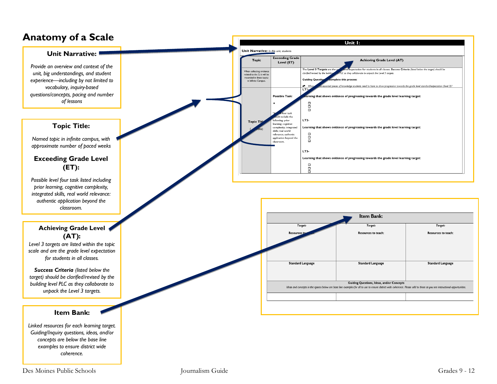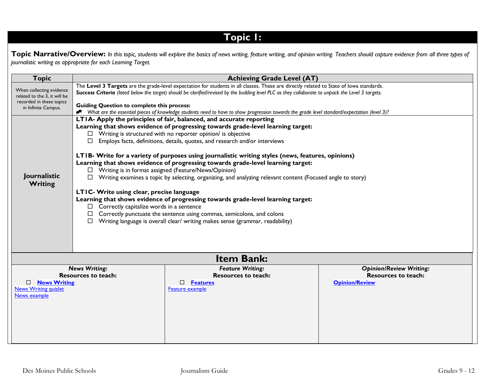# **Topic 1:**

**Topic Narrative/Overview:** *In this topic, students will explore the basics of news writing, feature writing, and opinion writing. Teachers should capture evidence from all three types of journalistic writing as appropriate for each Learning Target.*

| <b>Topic</b>                                                                                                | <b>Achieving Grade Level (AT)</b>                                                                                                                                                                                                                                                                                                                                                                                                                                                                                                                                                                                                                                                                                                                                                                                                                                                                                                                                                                                            |                                                                                                   |                                                                                       |
|-------------------------------------------------------------------------------------------------------------|------------------------------------------------------------------------------------------------------------------------------------------------------------------------------------------------------------------------------------------------------------------------------------------------------------------------------------------------------------------------------------------------------------------------------------------------------------------------------------------------------------------------------------------------------------------------------------------------------------------------------------------------------------------------------------------------------------------------------------------------------------------------------------------------------------------------------------------------------------------------------------------------------------------------------------------------------------------------------------------------------------------------------|---------------------------------------------------------------------------------------------------|---------------------------------------------------------------------------------------|
| When collecting evidence<br>related to the 3, it will be<br>recorded in these topics<br>in Infinite Campus. | The Level 3 Targets are the grade-level expectation for students in all classes. These are directly related to State of lowa standards.<br>Success Criteria (listed below the target) should be clarified/revised by the building level PLC as they collaborate to unpack the Level 3 targets.<br><b>Guiding Question to complete this process:</b><br>Nhat are the essential pieces of knowledge students need to have to show progression towards the grade level standard/expectation (level 3)?                                                                                                                                                                                                                                                                                                                                                                                                                                                                                                                          |                                                                                                   |                                                                                       |
| Journalistic<br><b>Writing</b>                                                                              | LTIA- Apply the principles of fair, balanced, and accurate reporting<br>Learning that shows evidence of progressing towards grade-level learning target:<br>Writing is structured with no reporter opinion/ is objective<br>Employs facts, definitions, details, quotes, and research and/or interviews<br>□<br>LTIB- Write for a variety of purposes using journalistic writing styles (news, features, opinions)<br>Learning that shows evidence of progressing towards grade-level learning target:<br>□ Writing is in format assigned (Feature/News/Opinion)<br>Writing examines a topic by selecting, organizing, and analyzing relevant content (Focused angle to story)<br>LTIC- Write using clear, precise language<br>Learning that shows evidence of progressing towards grade-level learning target:<br>$\Box$ Correctly capitalize words in a sentence<br>Correctly punctuate the sentence using commas, semicolons, and colons<br>Writing language is overall clear/ writing makes sense (grammar, readability) |                                                                                                   |                                                                                       |
|                                                                                                             |                                                                                                                                                                                                                                                                                                                                                                                                                                                                                                                                                                                                                                                                                                                                                                                                                                                                                                                                                                                                                              | <b>Item Bank:</b>                                                                                 |                                                                                       |
| <b>News Writing</b><br><b>News Writing quizlet</b><br>News example                                          | <b>News Writing:</b><br><b>Resources to teach:</b>                                                                                                                                                                                                                                                                                                                                                                                                                                                                                                                                                                                                                                                                                                                                                                                                                                                                                                                                                                           | <b>Feature Writing:</b><br><b>Resources to teach:</b><br><b>Features</b><br>П.<br>Feature example | <b>Opinion/Review Writing:</b><br><b>Resources to teach:</b><br><b>Opinion/Review</b> |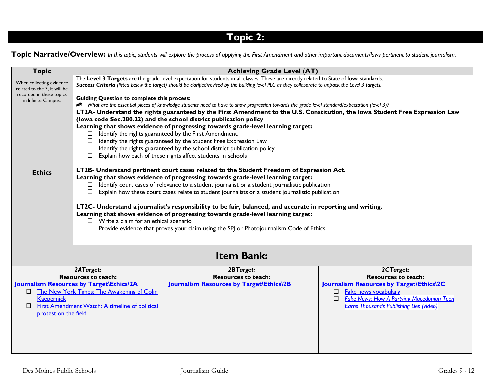# **Topic 2:**

**Topic Narrative/Overview:** In this topic, students will explore the process of applying the First Amendment and other important documents/laws pertinent to student journalism.

| <b>Topic</b>                                                                                                | <b>Achieving Grade Level (AT)</b>                                                                                                                                                                                                                                                                                                                                                                                                                                                                                                                                                                                                                                                                                                                     |                                                                                                                                                                                                                                                                                                                                                                                                                                                                                                                                                                 |                                                                                                                                                                                                                                       |
|-------------------------------------------------------------------------------------------------------------|-------------------------------------------------------------------------------------------------------------------------------------------------------------------------------------------------------------------------------------------------------------------------------------------------------------------------------------------------------------------------------------------------------------------------------------------------------------------------------------------------------------------------------------------------------------------------------------------------------------------------------------------------------------------------------------------------------------------------------------------------------|-----------------------------------------------------------------------------------------------------------------------------------------------------------------------------------------------------------------------------------------------------------------------------------------------------------------------------------------------------------------------------------------------------------------------------------------------------------------------------------------------------------------------------------------------------------------|---------------------------------------------------------------------------------------------------------------------------------------------------------------------------------------------------------------------------------------|
| When collecting evidence<br>related to the 3, it will be<br>recorded in these topics<br>in Infinite Campus. | The Level 3 Targets are the grade-level expectation for students in all classes. These are directly related to State of lowa standards.<br>Success Criteria (listed below the target) should be clarified/revised by the building level PLC as they collaborate to unpack the Level 3 targets.<br><b>Guiding Question to complete this process:</b><br>* What are the essential pieces of knowledge students need to have to show progression towards the grade level standard/expectation (level 3)?                                                                                                                                                                                                                                                 |                                                                                                                                                                                                                                                                                                                                                                                                                                                                                                                                                                 |                                                                                                                                                                                                                                       |
|                                                                                                             | $\Box$<br>□<br>$\Box$<br>□                                                                                                                                                                                                                                                                                                                                                                                                                                                                                                                                                                                                                                                                                                                            | LT2A- Understand the rights guaranteed by the First Amendment to the U.S. Constitution, the Iowa Student Free Expression Law<br>(lowa code Sec.280.22) and the school district publication policy<br>Learning that shows evidence of progressing towards grade-level learning target:<br>Identify the rights guaranteed by the First Amendment.<br>Identify the rights guaranteed by the Student Free Expression Law<br>Identify the rights guaranteed by the school district publication policy<br>Explain how each of these rights affect students in schools |                                                                                                                                                                                                                                       |
| <b>Ethics</b>                                                                                               | LT2B- Understand pertinent court cases related to the Student Freedom of Expression Act.<br>Learning that shows evidence of progressing towards grade-level learning target:<br>$\Box$ Identify court cases of relevance to a student journalist or a student journalistic publication<br>Explain how these court cases relate to student journalists or a student journalistic publication<br>□<br>LT2C- Understand a journalist's responsibility to be fair, balanced, and accurate in reporting and writing.<br>Learning that shows evidence of progressing towards grade-level learning target:<br>$\Box$ Write a claim for an ethical scenario<br>$\Box$ Provide evidence that proves your claim using the SPJ or Photojournalism Code of Ethics |                                                                                                                                                                                                                                                                                                                                                                                                                                                                                                                                                                 |                                                                                                                                                                                                                                       |
|                                                                                                             |                                                                                                                                                                                                                                                                                                                                                                                                                                                                                                                                                                                                                                                                                                                                                       | <b>Item Bank:</b>                                                                                                                                                                                                                                                                                                                                                                                                                                                                                                                                               |                                                                                                                                                                                                                                       |
| <b>Kaepernick</b><br>$\Box$<br>protest on the field                                                         | 2ATarget:<br><b>Resources to teach:</b><br>Journalism Resources by Target\Ethics\2A<br>□ The New York Times: The Awakening of Colin<br>First Amendment Watch: A timeline of political                                                                                                                                                                                                                                                                                                                                                                                                                                                                                                                                                                 | 2BTarget:<br><b>Resources to teach:</b><br>Journalism Resources by Target\Ethics\2B                                                                                                                                                                                                                                                                                                                                                                                                                                                                             | 2CTarget:<br><b>Resources to teach:</b><br>Journalism Resources by Target\Ethics\2C<br>Fake news vocabulary<br>$\Box$<br><b>Fake News: How A Partying Macedonian Teen</b><br>$\Box$<br><b>Earns Thousands Publishing Lies (video)</b> |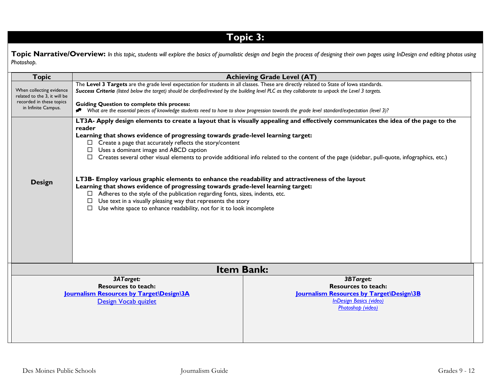# **Topic 3:**

Topic Narrative/Overview: In this topic, students will explore the basics of journalistic design and begin the process of designing their own pages using InDesign and editing photos using *Photoshop.* 

| <b>Topic</b>                                                                                                                                                                                                                                              |                                                                                                                                                                                                                                                                                                                                                                                                                                                                                                                                                                                                                                                                                                                                                                                                                                                                                                                                                         | <b>Achieving Grade Level (AT)</b> |
|-----------------------------------------------------------------------------------------------------------------------------------------------------------------------------------------------------------------------------------------------------------|---------------------------------------------------------------------------------------------------------------------------------------------------------------------------------------------------------------------------------------------------------------------------------------------------------------------------------------------------------------------------------------------------------------------------------------------------------------------------------------------------------------------------------------------------------------------------------------------------------------------------------------------------------------------------------------------------------------------------------------------------------------------------------------------------------------------------------------------------------------------------------------------------------------------------------------------------------|-----------------------------------|
| When collecting evidence<br>related to the 3, it will be<br>recorded in these topics<br>in Infinite Campus.                                                                                                                                               | The Level 3 Targets are the grade level expectation for students in all classes. These are directly related to State of lowa standards.<br>Success Criteria (listed below the target) should be clarified/revised by the building level PLC as they collaborate to unpack the Level 3 targets.<br><b>Guiding Question to complete this process:</b><br>● What are the essential pieces of knowledge students need to have to show progression towards the grade level standard/expectation (level 3)?                                                                                                                                                                                                                                                                                                                                                                                                                                                   |                                   |
| <b>Design</b>                                                                                                                                                                                                                                             | LT3A- Apply design elements to create a layout that is visually appealing and effectively communicates the idea of the page to the<br>reader<br>Learning that shows evidence of progressing towards grade-level learning target:<br>$\Box$ Create a page that accurately reflects the story/content<br>Uses a dominant image and ABCD caption<br>$\Box$<br>Creates several other visual elements to provide additional info related to the content of the page (sidebar, pull-quote, infographics, etc.)<br>LT3B- Employ various graphic elements to enhance the readability and attractiveness of the layout<br>Learning that shows evidence of progressing towards grade-level learning target:<br>$\Box$ Adheres to the style of the publication regarding fonts, sizes, indents, etc.<br>Use text in a visually pleasing way that represents the story<br>$\Box$<br>Use white space to enhance readability, not for it to look incomplete<br>$\Box$ |                                   |
|                                                                                                                                                                                                                                                           | <b>Item Bank:</b>                                                                                                                                                                                                                                                                                                                                                                                                                                                                                                                                                                                                                                                                                                                                                                                                                                                                                                                                       |                                   |
| 3ATarget:<br>3BTarget:<br><b>Resources to teach:</b><br><b>Resources to teach:</b><br>Journalism Resources by Target\Design\3B<br>Journalism Resources by Target\Design\3A<br><b>InDesign Basics (video)</b><br>Design Vocab quizlet<br>Photoshop (video) |                                                                                                                                                                                                                                                                                                                                                                                                                                                                                                                                                                                                                                                                                                                                                                                                                                                                                                                                                         |                                   |